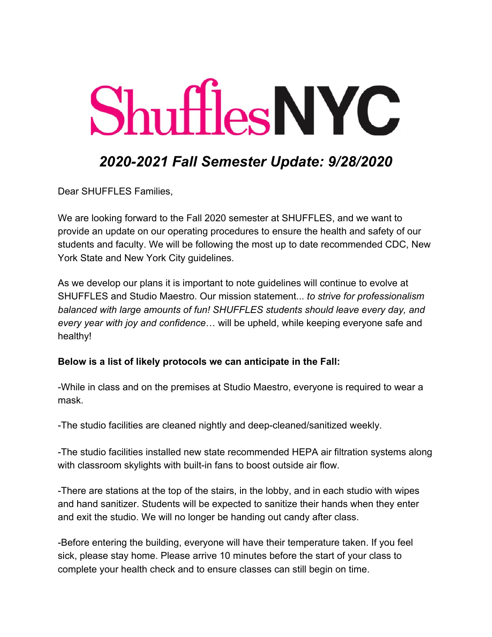# **Shuffles NYC**

## *2020-2021 Fall Semester Update: 9/28/2020*

Dear SHUFFLES Families,

We are looking forward to the Fall 2020 semester at SHUFFLES, and we want to provide an update on our operating procedures to ensure the health and safety of our students and faculty. We will be following the most up to date recommended CDC, New York State and New York City guidelines.

As we develop our plans it is important to note guidelines will continue to evolve at SHUFFLES and Studio Maestro. Our mission statement... *to strive for professionalism balanced with large amounts of fun! SHUFFLES students should leave every day, and every year with joy and confidence*… will be upheld, while keeping everyone safe and healthy!

#### **Below is a list of likely protocols we can anticipate in the Fall:**

-While in class and on the premises at Studio Maestro, everyone is required to wear a mask.

-The studio facilities are cleaned nightly and deep-cleaned/sanitized weekly.

-The studio facilities installed new state recommended HEPA air filtration systems along with classroom skylights with built-in fans to boost outside air flow.

-There are stations at the top of the stairs, in the lobby, and in each studio with wipes and hand sanitizer. Students will be expected to sanitize their hands when they enter and exit the studio. We will no longer be handing out candy after class.

-Before entering the building, everyone will have their temperature taken. If you feel sick, please stay home. Please arrive 10 minutes before the start of your class to complete your health check and to ensure classes can still begin on time.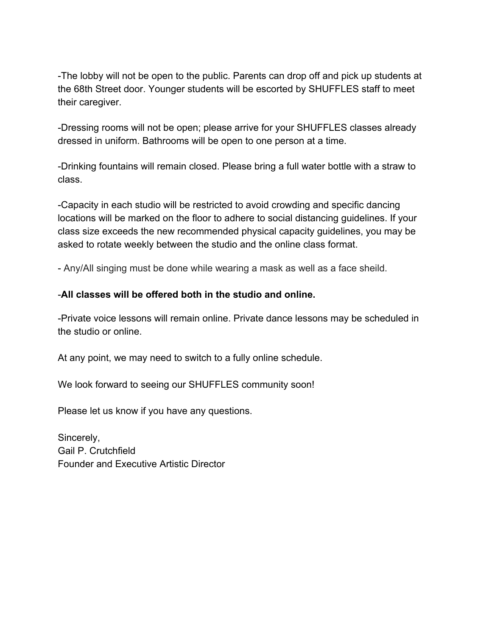-The lobby will not be open to the public. Parents can drop off and pick up students at the 68th Street door. Younger students will be escorted by SHUFFLES staff to meet their caregiver.

-Dressing rooms will not be open; please arrive for your SHUFFLES classes already dressed in uniform. Bathrooms will be open to one person at a time.

-Drinking fountains will remain closed. Please bring a full water bottle with a straw to class.

-Capacity in each studio will be restricted to avoid crowding and specific dancing locations will be marked on the floor to adhere to social distancing guidelines. If your class size exceeds the new recommended physical capacity guidelines, you may be asked to rotate weekly between the studio and the online class format.

- Any/All singing must be done while wearing a mask as well as a face sheild.

### -**All classes will be offered both in the studio and online.**

-Private voice lessons will remain online. Private dance lessons may be scheduled in the studio or online.

At any point, we may need to switch to a fully online schedule.

We look forward to seeing our SHUFFLES community soon!

Please let us know if you have any questions.

Sincerely, Gail P. Crutchfield Founder and Executive Artistic Director